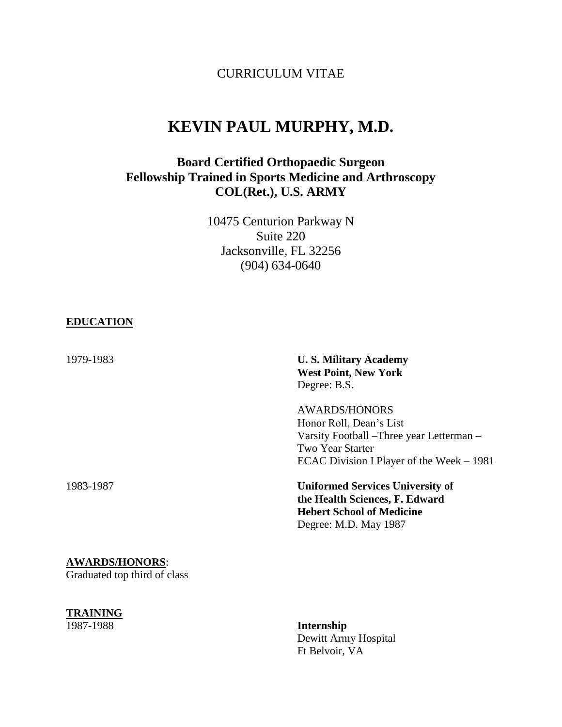# CURRICULUM VITAE

# **KEVIN PAUL MURPHY, M.D.**

# **Board Certified Orthopaedic Surgeon Fellowship Trained in Sports Medicine and Arthroscopy COL(Ret.), U.S. ARMY**

10475 Centurion Parkway N Suite 220 Jacksonville, FL 32256 (904) 634-0640

#### **EDUCATION**

| 1979-1983 | <b>U.S. Military Academy</b><br><b>West Point, New York</b><br>Degree: B.S.                                                                                   |
|-----------|---------------------------------------------------------------------------------------------------------------------------------------------------------------|
|           | <b>AWARDS/HONORS</b><br>Honor Roll, Dean's List<br>Varsity Football – Three year Letterman –<br>Two Year Starter<br>ECAC Division I Player of the Week – 1981 |
| 1983-1987 | <b>Uniformed Services University of</b><br>the Health Sciences, F. Edward<br><b>Hebert School of Medicine</b><br>Degree: M.D. May 1987                        |

# **AWARDS/HONORS**:

Graduated top third of class

# **TRAINING**<br>1987-1988

1987-1988 **Internship** Dewitt Army Hospital Ft Belvoir, VA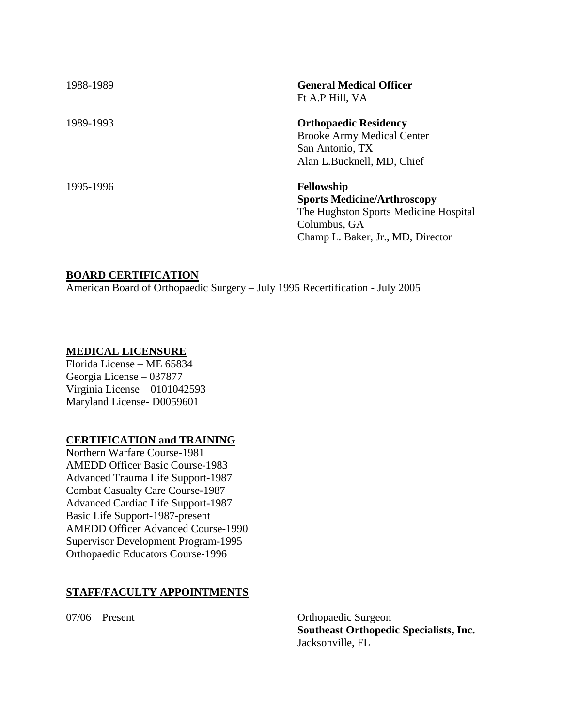| 1988-1989 | <b>General Medical Officer</b><br>Ft A.P Hill, VA                                                                  |
|-----------|--------------------------------------------------------------------------------------------------------------------|
| 1989-1993 | <b>Orthopaedic Residency</b><br><b>Brooke Army Medical Center</b><br>San Antonio, TX<br>Alan L.Bucknell, MD, Chief |
| 1995-1996 | <b>Fellowship</b><br><b>Sports Medicine/Arthroscopy</b><br>The Hughston Sports Medicine Hospital<br>Columbus, GA   |

## **BOARD CERTIFICATION**

American Board of Orthopaedic Surgery – July 1995 Recertification - July 2005

#### **MEDICAL LICENSURE**

Florida License – ME 65834 Georgia License – 037877 Virginia License – 0101042593 Maryland License- D0059601

#### **CERTIFICATION and TRAINING**

Northern Warfare Course-1981 AMEDD Officer Basic Course-1983 Advanced Trauma Life Support-1987 Combat Casualty Care Course-1987 Advanced Cardiac Life Support-1987 Basic Life Support-1987-present AMEDD Officer Advanced Course-1990 Supervisor Development Program-1995 Orthopaedic Educators Course-1996

#### **STAFF/FACULTY APPOINTMENTS**

07/06 – Present Orthopaedic Surgeon **Southeast Orthopedic Specialists, Inc.** Jacksonville, FL

Champ L. Baker, Jr., MD, Director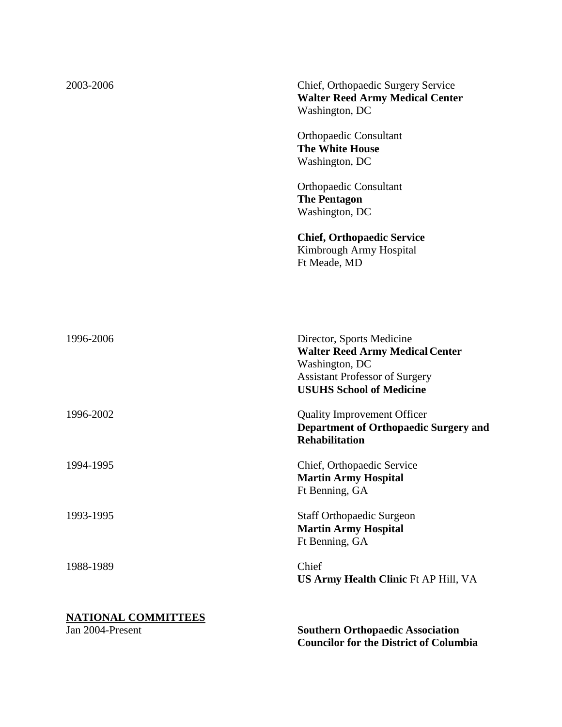| <b>NATIONAL COMMITTEES</b><br>Jan 2004-Present | <b>Southern Orthopaedic Association</b><br><b>Councilor for the District of Columbia</b>                                                                          |
|------------------------------------------------|-------------------------------------------------------------------------------------------------------------------------------------------------------------------|
| 1988-1989                                      | Chief<br>US Army Health Clinic Ft AP Hill, VA                                                                                                                     |
| 1993-1995                                      | <b>Staff Orthopaedic Surgeon</b><br><b>Martin Army Hospital</b><br>Ft Benning, GA                                                                                 |
| 1994-1995                                      | Chief, Orthopaedic Service<br><b>Martin Army Hospital</b><br>Ft Benning, GA                                                                                       |
| 1996-2002                                      | <b>Quality Improvement Officer</b><br><b>Department of Orthopaedic Surgery and</b><br><b>Rehabilitation</b>                                                       |
| 1996-2006                                      | Director, Sports Medicine<br><b>Walter Reed Army Medical Center</b><br>Washington, DC<br><b>Assistant Professor of Surgery</b><br><b>USUHS School of Medicine</b> |
|                                                | <b>Chief, Orthopaedic Service</b><br>Kimbrough Army Hospital<br>Ft Meade, MD                                                                                      |
|                                                | <b>Orthopaedic Consultant</b><br><b>The Pentagon</b><br>Washington, DC                                                                                            |
|                                                | <b>Orthopaedic Consultant</b><br><b>The White House</b><br>Washington, DC                                                                                         |
| 2003-2006                                      | Chief, Orthopaedic Surgery Service<br><b>Walter Reed Army Medical Center</b><br>Washington, DC                                                                    |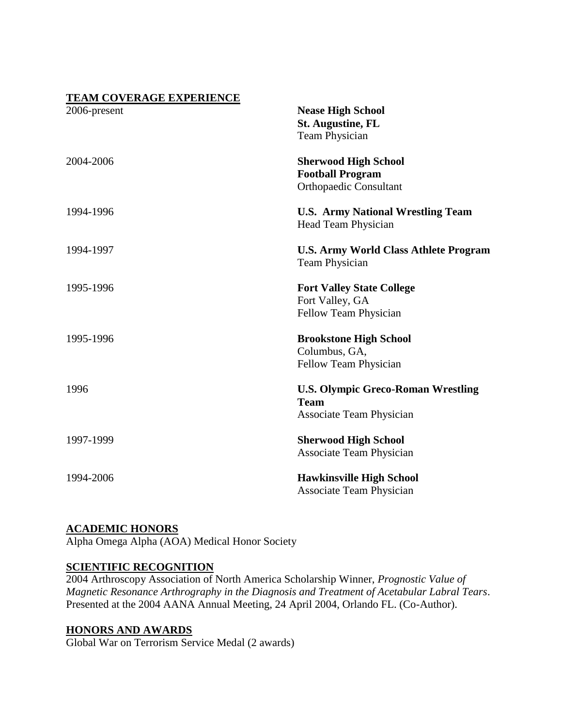| <b>TEAM COVERAGE EXPERIENCE</b> |                                              |
|---------------------------------|----------------------------------------------|
| 2006-present                    | <b>Nease High School</b>                     |
|                                 | <b>St. Augustine, FL</b>                     |
|                                 | <b>Team Physician</b>                        |
| 2004-2006                       | <b>Sherwood High School</b>                  |
|                                 | <b>Football Program</b>                      |
|                                 | <b>Orthopaedic Consultant</b>                |
| 1994-1996                       | <b>U.S. Army National Wrestling Team</b>     |
|                                 | Head Team Physician                          |
| 1994-1997                       | <b>U.S. Army World Class Athlete Program</b> |
|                                 | <b>Team Physician</b>                        |
| 1995-1996                       | <b>Fort Valley State College</b>             |
|                                 | Fort Valley, GA                              |
|                                 | Fellow Team Physician                        |
| 1995-1996                       | <b>Brookstone High School</b>                |
|                                 | Columbus, GA,                                |
|                                 | Fellow Team Physician                        |
| 1996                            | <b>U.S. Olympic Greco-Roman Wrestling</b>    |
|                                 | <b>Team</b>                                  |
|                                 | <b>Associate Team Physician</b>              |
| 1997-1999                       | <b>Sherwood High School</b>                  |
|                                 | <b>Associate Team Physician</b>              |
| 1994-2006                       | <b>Hawkinsville High School</b>              |
|                                 | <b>Associate Team Physician</b>              |

# **ACADEMIC HONORS**

Alpha Omega Alpha (AOA) Medical Honor Society

# **SCIENTIFIC RECOGNITION**

2004 Arthroscopy Association of North America Scholarship Winner, *Prognostic Value of Magnetic Resonance Arthrography in the Diagnosis and Treatment of Acetabular Labral Tears*. Presented at the 2004 AANA Annual Meeting, 24 April 2004, Orlando FL. (Co-Author).

# **HONORS AND AWARDS**

Global War on Terrorism Service Medal (2 awards)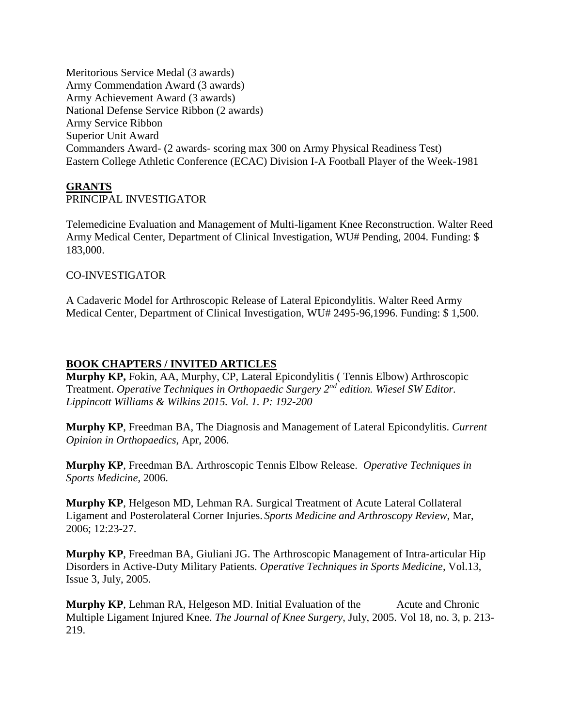Meritorious Service Medal (3 awards) Army Commendation Award (3 awards) Army Achievement Award (3 awards) National Defense Service Ribbon (2 awards) Army Service Ribbon Superior Unit Award Commanders Award- (2 awards- scoring max 300 on Army Physical Readiness Test) Eastern College Athletic Conference (ECAC) Division I-A Football Player of the Week-1981

## **GRANTS**

# PRINCIPAL INVESTIGATOR

Telemedicine Evaluation and Management of Multi-ligament Knee Reconstruction. Walter Reed Army Medical Center, Department of Clinical Investigation, WU# Pending, 2004. Funding: \$ 183,000.

#### CO-INVESTIGATOR

A Cadaveric Model for Arthroscopic Release of Lateral Epicondylitis. Walter Reed Army Medical Center, Department of Clinical Investigation, WU# 2495-96,1996. Funding: \$ 1,500.

## **BOOK CHAPTERS / INVITED ARTICLES**

**Murphy KP,** Fokin, AA, Murphy, CP, Lateral Epicondylitis ( Tennis Elbow) Arthroscopic Treatment. *Operative Techniques in Orthopaedic Surgery 2nd edition. Wiesel SW Editor. Lippincott Williams & Wilkins 2015. Vol. 1. P: 192-200* 

**Murphy KP**, Freedman BA, The Diagnosis and Management of Lateral Epicondylitis. *Current Opinion in Orthopaedics*, Apr, 2006.

**Murphy KP**, Freedman BA. Arthroscopic Tennis Elbow Release. *Operative Techniques in Sports Medicine*, 2006.

**Murphy KP**, Helgeson MD, Lehman RA. Surgical Treatment of Acute Lateral Collateral Ligament and Posterolateral Corner Injuries. *Sports Medicine and Arthroscopy Review*, Mar, 2006; 12:23-27.

**Murphy KP**, Freedman BA, Giuliani JG. The Arthroscopic Management of Intra-articular Hip Disorders in Active-Duty Military Patients. *Operative Techniques in Sports Medicine*, Vol.13, Issue 3, July, 2005.

**Murphy KP**, Lehman RA, Helgeson MD. Initial Evaluation of the Acute and Chronic Multiple Ligament Injured Knee. *The Journal of Knee Surgery*, July, 2005. Vol 18, no. 3, p. 213- 219.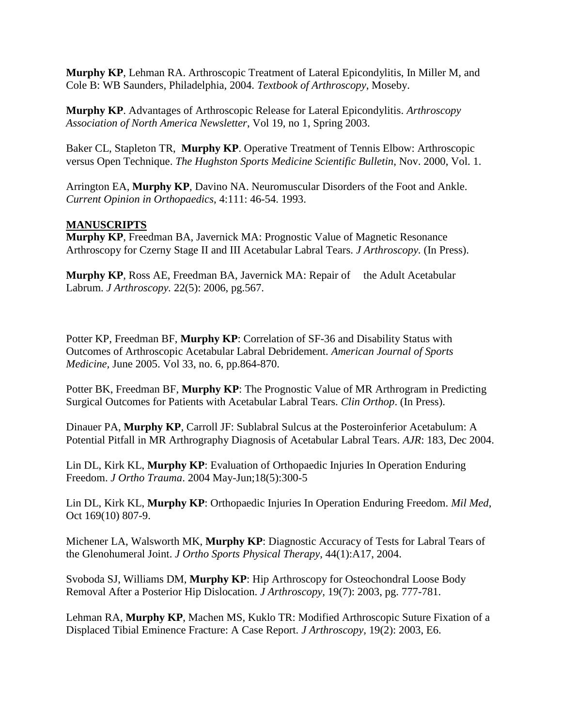**Murphy KP**, Lehman RA. Arthroscopic Treatment of Lateral Epicondylitis, In Miller M, and Cole B: WB Saunders, Philadelphia, 2004. *Textbook of Arthroscopy*, Moseby.

**Murphy KP**. Advantages of Arthroscopic Release for Lateral Epicondylitis. *Arthroscopy Association of North America Newsletter*, Vol 19, no 1, Spring 2003.

Baker CL, Stapleton TR, **Murphy KP**. Operative Treatment of Tennis Elbow: Arthroscopic versus Open Technique. *The Hughston Sports Medicine Scientific Bulletin*, Nov. 2000, Vol. 1.

Arrington EA, **Murphy KP**, Davino NA. Neuromuscular Disorders of the Foot and Ankle. *Current Opinion in Orthopaedics*, 4:111: 46-54. 1993.

# **MANUSCRIPTS**

**Murphy KP**, Freedman BA, Javernick MA: Prognostic Value of Magnetic Resonance Arthroscopy for Czerny Stage II and III Acetabular Labral Tears. *J Arthroscopy.* (In Press).

**Murphy KP**, Ross AE, Freedman BA, Javernick MA: Repair of the Adult Acetabular Labrum. *J Arthroscopy.* 22(5): 2006, pg.567.

Potter KP, Freedman BF, **Murphy KP**: Correlation of SF-36 and Disability Status with Outcomes of Arthroscopic Acetabular Labral Debridement. *American Journal of Sports Medicine,* June 2005. Vol 33, no. 6, pp.864-870.

Potter BK, Freedman BF, **Murphy KP**: The Prognostic Value of MR Arthrogram in Predicting Surgical Outcomes for Patients with Acetabular Labral Tears. *Clin Orthop*. (In Press).

Dinauer PA, **Murphy KP**, Carroll JF: Sublabral Sulcus at the Posteroinferior Acetabulum: A Potential Pitfall in MR Arthrography Diagnosis of Acetabular Labral Tears. *AJR*: 183, Dec 2004.

Lin DL, Kirk KL, **Murphy KP**: Evaluation of Orthopaedic Injuries In Operation Enduring Freedom. *J Ortho Trauma*. 2004 May-Jun;18(5):300-5

Lin DL, Kirk KL, **Murphy KP**: Orthopaedic Injuries In Operation Enduring Freedom. *Mil Med*, Oct 169(10) 807-9.

Michener LA, Walsworth MK, **Murphy KP**: Diagnostic Accuracy of Tests for Labral Tears of the Glenohumeral Joint. *J Ortho Sports Physical Therapy*, 44(1):A17, 2004.

Svoboda SJ, Williams DM, **Murphy KP**: Hip Arthroscopy for Osteochondral Loose Body Removal After a Posterior Hip Dislocation. *J Arthroscopy,* 19(7): 2003, pg. 777-781.

Lehman RA, **Murphy KP**, Machen MS, Kuklo TR: Modified Arthroscopic Suture Fixation of a Displaced Tibial Eminence Fracture: A Case Report*. J Arthroscopy,* 19(2): 2003, E6.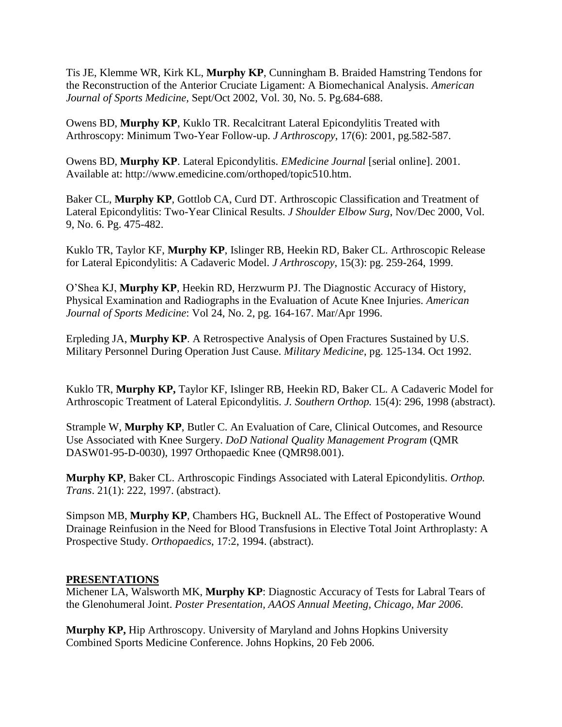Tis JE, Klemme WR, Kirk KL, **Murphy KP**, Cunningham B. Braided Hamstring Tendons for the Reconstruction of the Anterior Cruciate Ligament: A Biomechanical Analysis. *American Journal of Sports Medicine,* Sept/Oct 2002, Vol. 30, No. 5. Pg.684-688.

Owens BD, **Murphy KP**, Kuklo TR. Recalcitrant Lateral Epicondylitis Treated with Arthroscopy: Minimum Two-Year Follow-up. *J Arthroscopy*, 17(6): 2001, pg.582-587.

Owens BD, **Murphy KP**. Lateral Epicondylitis. *EMedicine Journal* [serial online]. 2001. Available at: http://www.emedicine.com/orthoped/topic510.htm.

Baker CL, **Murphy KP**, Gottlob CA, Curd DT. Arthroscopic Classification and Treatment of Lateral Epicondylitis: Two-Year Clinical Results. *J Shoulder Elbow Surg*, Nov/Dec 2000, Vol. 9, No. 6. Pg. 475-482.

Kuklo TR, Taylor KF, **Murphy KP**, Islinger RB, Heekin RD, Baker CL. Arthroscopic Release for Lateral Epicondylitis: A Cadaveric Model. *J Arthroscopy*, 15(3): pg. 259-264, 1999.

O'Shea KJ, **Murphy KP**, Heekin RD, Herzwurm PJ. The Diagnostic Accuracy of History, Physical Examination and Radiographs in the Evaluation of Acute Knee Injuries. *American Journal of Sports Medicine*: Vol 24, No. 2, pg. 164-167. Mar/Apr 1996.

Erpleding JA, **Murphy KP**. A Retrospective Analysis of Open Fractures Sustained by U.S. Military Personnel During Operation Just Cause. *Military Medicine*, pg. 125-134. Oct 1992.

Kuklo TR, **Murphy KP,** Taylor KF, Islinger RB, Heekin RD, Baker CL. A Cadaveric Model for Arthroscopic Treatment of Lateral Epicondylitis. *J. Southern Orthop.* 15(4): 296, 1998 (abstract).

Strample W, **Murphy KP**, Butler C. An Evaluation of Care, Clinical Outcomes, and Resource Use Associated with Knee Surgery. *DoD National Quality Management Program* (QMR DASW01-95-D-0030), 1997 Orthopaedic Knee (QMR98.001).

**Murphy KP**, Baker CL. Arthroscopic Findings Associated with Lateral Epicondylitis. *Orthop. Trans*. 21(1): 222, 1997. (abstract).

Simpson MB, **Murphy KP**, Chambers HG, Bucknell AL. The Effect of Postoperative Wound Drainage Reinfusion in the Need for Blood Transfusions in Elective Total Joint Arthroplasty: A Prospective Study. *Orthopaedics*, 17:2, 1994. (abstract).

# **PRESENTATIONS**

Michener LA, Walsworth MK, **Murphy KP**: Diagnostic Accuracy of Tests for Labral Tears of the Glenohumeral Joint. *Poster Presentation, AAOS Annual Meeting, Chicago, Mar 2006*.

**Murphy KP,** Hip Arthroscopy. University of Maryland and Johns Hopkins University Combined Sports Medicine Conference. Johns Hopkins, 20 Feb 2006.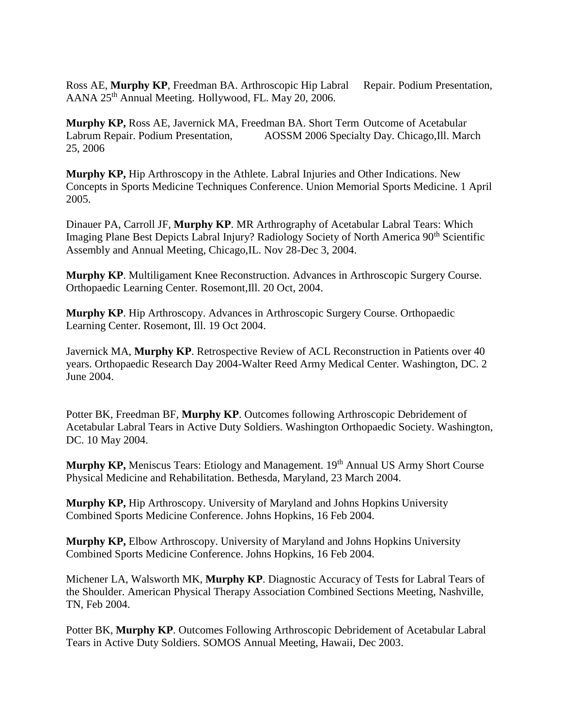Ross AE, Murphy KP, Freedman BA. Arthroscopic Hip Labral Repair. Podium Presentation, AANA 25<sup>th</sup> Annual Meeting. Hollywood, FL. May 20, 2006.

**Murphy KP,** Ross AE, Javernick MA, Freedman BA. Short Term Outcome of Acetabular Labrum Repair. Podium Presentation, AOSSM 2006 Specialty Day. Chicago,Ill. March 25, 2006

**Murphy KP,** Hip Arthroscopy in the Athlete. Labral Injuries and Other Indications. New Concepts in Sports Medicine Techniques Conference. Union Memorial Sports Medicine. 1 April 2005.

Dinauer PA, Carroll JF, **Murphy KP**. MR Arthrography of Acetabular Labral Tears: Which Imaging Plane Best Depicts Labral Injury? Radiology Society of North America 90<sup>th</sup> Scientific Assembly and Annual Meeting, Chicago,IL. Nov 28-Dec 3, 2004.

**Murphy KP**. Multiligament Knee Reconstruction. Advances in Arthroscopic Surgery Course. Orthopaedic Learning Center. Rosemont,Ill. 20 Oct, 2004.

**Murphy KP**. Hip Arthroscopy. Advances in Arthroscopic Surgery Course. Orthopaedic Learning Center. Rosemont, Ill. 19 Oct 2004.

Javernick MA, **Murphy KP**. Retrospective Review of ACL Reconstruction in Patients over 40 years. Orthopaedic Research Day 2004-Walter Reed Army Medical Center. Washington, DC. 2 June 2004.

Potter BK, Freedman BF, **Murphy KP**. Outcomes following Arthroscopic Debridement of Acetabular Labral Tears in Active Duty Soldiers. Washington Orthopaedic Society. Washington, DC. 10 May 2004.

**Murphy KP, Meniscus Tears: Etiology and Management. 19<sup>th</sup> Annual US Army Short Course** Physical Medicine and Rehabilitation. Bethesda, Maryland, 23 March 2004.

**Murphy KP,** Hip Arthroscopy. University of Maryland and Johns Hopkins University Combined Sports Medicine Conference. Johns Hopkins, 16 Feb 2004.

**Murphy KP,** Elbow Arthroscopy. University of Maryland and Johns Hopkins University Combined Sports Medicine Conference. Johns Hopkins, 16 Feb 2004.

Michener LA, Walsworth MK, **Murphy KP**. Diagnostic Accuracy of Tests for Labral Tears of the Shoulder. American Physical Therapy Association Combined Sections Meeting, Nashville, TN, Feb 2004.

Potter BK, **Murphy KP**. Outcomes Following Arthroscopic Debridement of Acetabular Labral Tears in Active Duty Soldiers. SOMOS Annual Meeting, Hawaii, Dec 2003.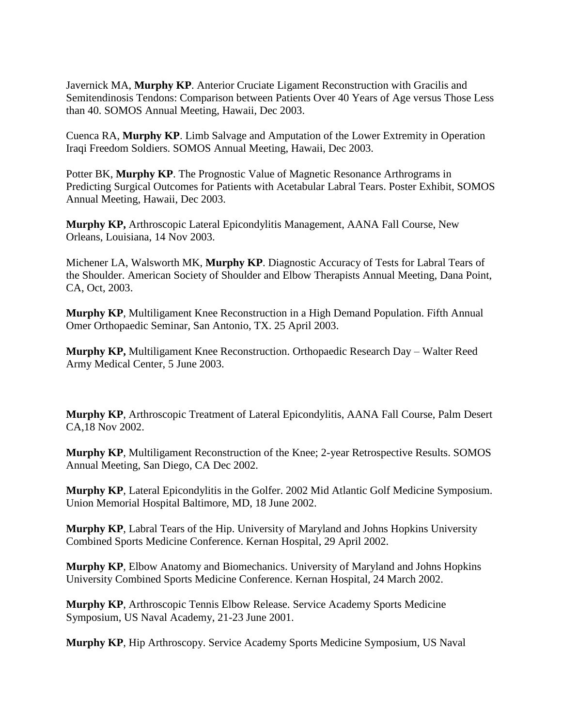Javernick MA, **Murphy KP**. Anterior Cruciate Ligament Reconstruction with Gracilis and Semitendinosis Tendons: Comparison between Patients Over 40 Years of Age versus Those Less than 40. SOMOS Annual Meeting, Hawaii, Dec 2003.

Cuenca RA, **Murphy KP**. Limb Salvage and Amputation of the Lower Extremity in Operation Iraqi Freedom Soldiers. SOMOS Annual Meeting, Hawaii, Dec 2003.

Potter BK, **Murphy KP**. The Prognostic Value of Magnetic Resonance Arthrograms in Predicting Surgical Outcomes for Patients with Acetabular Labral Tears. Poster Exhibit, SOMOS Annual Meeting, Hawaii, Dec 2003.

**Murphy KP,** Arthroscopic Lateral Epicondylitis Management, AANA Fall Course, New Orleans, Louisiana, 14 Nov 2003.

Michener LA, Walsworth MK, **Murphy KP**. Diagnostic Accuracy of Tests for Labral Tears of the Shoulder. American Society of Shoulder and Elbow Therapists Annual Meeting, Dana Point, CA, Oct, 2003.

**Murphy KP**, Multiligament Knee Reconstruction in a High Demand Population. Fifth Annual Omer Orthopaedic Seminar, San Antonio, TX. 25 April 2003.

**Murphy KP,** Multiligament Knee Reconstruction. Orthopaedic Research Day – Walter Reed Army Medical Center, 5 June 2003.

**Murphy KP**, Arthroscopic Treatment of Lateral Epicondylitis, AANA Fall Course, Palm Desert CA,18 Nov 2002.

**Murphy KP**, Multiligament Reconstruction of the Knee; 2-year Retrospective Results. SOMOS Annual Meeting, San Diego, CA Dec 2002.

**Murphy KP**, Lateral Epicondylitis in the Golfer. 2002 Mid Atlantic Golf Medicine Symposium. Union Memorial Hospital Baltimore, MD, 18 June 2002.

**Murphy KP**, Labral Tears of the Hip. University of Maryland and Johns Hopkins University Combined Sports Medicine Conference. Kernan Hospital, 29 April 2002.

**Murphy KP**, Elbow Anatomy and Biomechanics. University of Maryland and Johns Hopkins University Combined Sports Medicine Conference. Kernan Hospital, 24 March 2002.

**Murphy KP**, Arthroscopic Tennis Elbow Release. Service Academy Sports Medicine Symposium, US Naval Academy, 21-23 June 2001.

**Murphy KP**, Hip Arthroscopy. Service Academy Sports Medicine Symposium, US Naval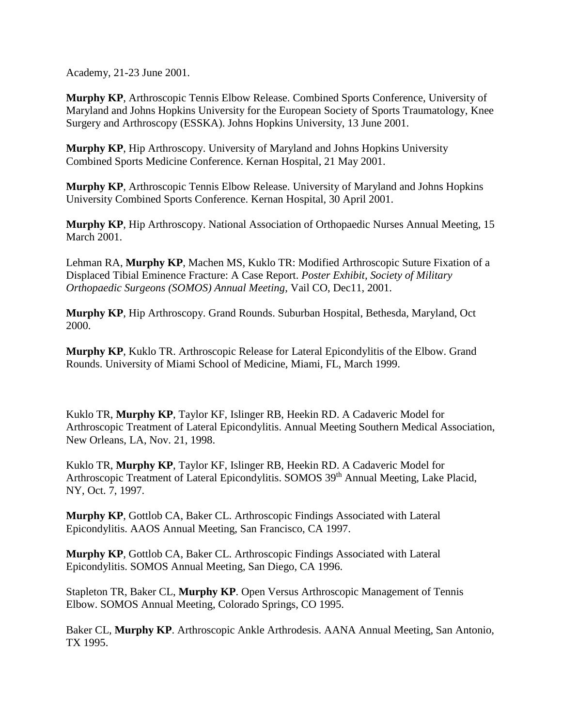Academy, 21-23 June 2001.

**Murphy KP**, Arthroscopic Tennis Elbow Release. Combined Sports Conference, University of Maryland and Johns Hopkins University for the European Society of Sports Traumatology, Knee Surgery and Arthroscopy (ESSKA). Johns Hopkins University, 13 June 2001.

**Murphy KP**, Hip Arthroscopy. University of Maryland and Johns Hopkins University Combined Sports Medicine Conference. Kernan Hospital, 21 May 2001.

**Murphy KP**, Arthroscopic Tennis Elbow Release. University of Maryland and Johns Hopkins University Combined Sports Conference. Kernan Hospital, 30 April 2001.

**Murphy KP**, Hip Arthroscopy. National Association of Orthopaedic Nurses Annual Meeting, 15 March 2001.

Lehman RA, **Murphy KP**, Machen MS, Kuklo TR: Modified Arthroscopic Suture Fixation of a Displaced Tibial Eminence Fracture: A Case Report. *Poster Exhibit, Society of Military Orthopaedic Surgeons (SOMOS) Annual Meeting*, Vail CO, Dec11, 2001.

**Murphy KP**, Hip Arthroscopy. Grand Rounds. Suburban Hospital, Bethesda, Maryland, Oct 2000.

**Murphy KP**, Kuklo TR. Arthroscopic Release for Lateral Epicondylitis of the Elbow. Grand Rounds. University of Miami School of Medicine, Miami, FL, March 1999.

Kuklo TR, **Murphy KP**, Taylor KF, Islinger RB, Heekin RD. A Cadaveric Model for Arthroscopic Treatment of Lateral Epicondylitis. Annual Meeting Southern Medical Association, New Orleans, LA, Nov. 21, 1998.

Kuklo TR, **Murphy KP**, Taylor KF, Islinger RB, Heekin RD. A Cadaveric Model for Arthroscopic Treatment of Lateral Epicondylitis. SOMOS 39<sup>th</sup> Annual Meeting, Lake Placid, NY, Oct. 7, 1997.

**Murphy KP**, Gottlob CA, Baker CL. Arthroscopic Findings Associated with Lateral Epicondylitis. AAOS Annual Meeting, San Francisco, CA 1997.

**Murphy KP**, Gottlob CA, Baker CL. Arthroscopic Findings Associated with Lateral Epicondylitis. SOMOS Annual Meeting, San Diego, CA 1996.

Stapleton TR, Baker CL, **Murphy KP**. Open Versus Arthroscopic Management of Tennis Elbow. SOMOS Annual Meeting, Colorado Springs, CO 1995.

Baker CL, **Murphy KP**. Arthroscopic Ankle Arthrodesis. AANA Annual Meeting, San Antonio, TX 1995.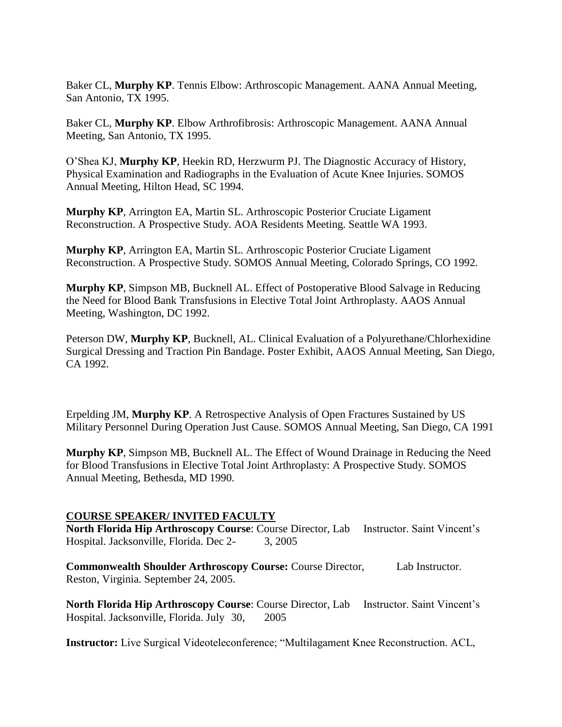Baker CL, **Murphy KP**. Tennis Elbow: Arthroscopic Management. AANA Annual Meeting, San Antonio, TX 1995.

Baker CL, **Murphy KP**. Elbow Arthrofibrosis: Arthroscopic Management. AANA Annual Meeting, San Antonio, TX 1995.

O'Shea KJ, **Murphy KP**, Heekin RD, Herzwurm PJ. The Diagnostic Accuracy of History, Physical Examination and Radiographs in the Evaluation of Acute Knee Injuries. SOMOS Annual Meeting, Hilton Head, SC 1994.

**Murphy KP**, Arrington EA, Martin SL. Arthroscopic Posterior Cruciate Ligament Reconstruction. A Prospective Study. AOA Residents Meeting. Seattle WA 1993.

**Murphy KP**, Arrington EA, Martin SL. Arthroscopic Posterior Cruciate Ligament Reconstruction. A Prospective Study. SOMOS Annual Meeting, Colorado Springs, CO 1992.

**Murphy KP**, Simpson MB, Bucknell AL. Effect of Postoperative Blood Salvage in Reducing the Need for Blood Bank Transfusions in Elective Total Joint Arthroplasty. AAOS Annual Meeting, Washington, DC 1992.

Peterson DW, **Murphy KP**, Bucknell, AL. Clinical Evaluation of a Polyurethane/Chlorhexidine Surgical Dressing and Traction Pin Bandage. Poster Exhibit, AAOS Annual Meeting, San Diego, CA 1992.

Erpelding JM, **Murphy KP**. A Retrospective Analysis of Open Fractures Sustained by US Military Personnel During Operation Just Cause. SOMOS Annual Meeting, San Diego, CA 1991

**Murphy KP**, Simpson MB, Bucknell AL. The Effect of Wound Drainage in Reducing the Need for Blood Transfusions in Elective Total Joint Arthroplasty: A Prospective Study. SOMOS Annual Meeting, Bethesda, MD 1990.

## **COURSE SPEAKER/ INVITED FACULTY**

North Florida Hip Arthroscopy Course: Course Director, Lab Instructor. Saint Vincent's Hospital. Jacksonville, Florida. Dec 2- 3, 2005

**Commonwealth Shoulder Arthroscopy Course: Course Director, Lab Instructor.** Reston, Virginia. September 24, 2005.

**North Florida Hip Arthroscopy Course:** Course Director, Lab Instructor. Saint Vincent's Hospital. Jacksonville, Florida. July 30, 2005

**Instructor:** Live Surgical Videoteleconference; "Multilagament Knee Reconstruction. ACL,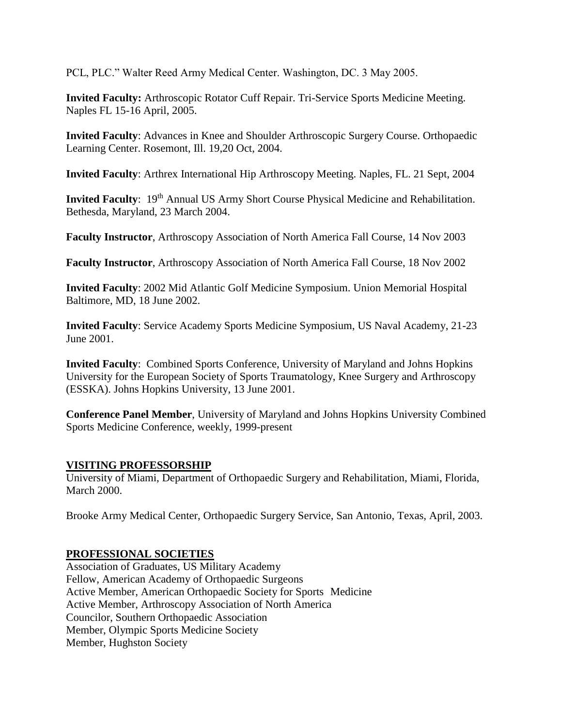PCL, PLC." Walter Reed Army Medical Center. Washington, DC. 3 May 2005.

**Invited Faculty:** Arthroscopic Rotator Cuff Repair. Tri-Service Sports Medicine Meeting. Naples FL 15-16 April, 2005.

**Invited Faculty**: Advances in Knee and Shoulder Arthroscopic Surgery Course. Orthopaedic Learning Center. Rosemont, Ill. 19,20 Oct, 2004.

**Invited Faculty**: Arthrex International Hip Arthroscopy Meeting. Naples, FL. 21 Sept, 2004

**Invited Faculty**: 19<sup>th</sup> Annual US Army Short Course Physical Medicine and Rehabilitation. Bethesda, Maryland, 23 March 2004.

**Faculty Instructor**, Arthroscopy Association of North America Fall Course, 14 Nov 2003

**Faculty Instructor**, Arthroscopy Association of North America Fall Course, 18 Nov 2002

**Invited Faculty**: 2002 Mid Atlantic Golf Medicine Symposium. Union Memorial Hospital Baltimore, MD, 18 June 2002.

**Invited Faculty**: Service Academy Sports Medicine Symposium, US Naval Academy, 21-23 June 2001.

**Invited Faculty**: Combined Sports Conference, University of Maryland and Johns Hopkins University for the European Society of Sports Traumatology, Knee Surgery and Arthroscopy (ESSKA). Johns Hopkins University, 13 June 2001.

**Conference Panel Member**, University of Maryland and Johns Hopkins University Combined Sports Medicine Conference, weekly, 1999-present

## **VISITING PROFESSORSHIP**

University of Miami, Department of Orthopaedic Surgery and Rehabilitation, Miami, Florida, March 2000.

Brooke Army Medical Center, Orthopaedic Surgery Service, San Antonio, Texas, April, 2003.

## **PROFESSIONAL SOCIETIES**

Association of Graduates, US Military Academy Fellow, American Academy of Orthopaedic Surgeons Active Member, American Orthopaedic Society for Sports Medicine Active Member, Arthroscopy Association of North America Councilor, Southern Orthopaedic Association Member, Olympic Sports Medicine Society Member, Hughston Society